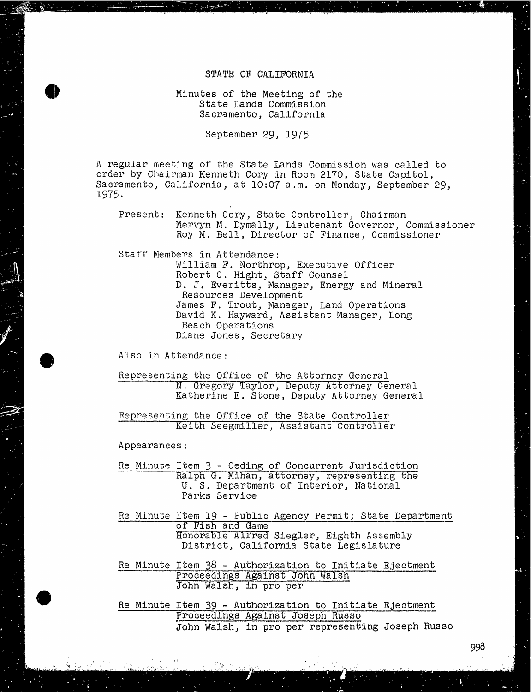#### STATE OF CALIFORNIA

### Minutes of the Meeting of the State Lands Commission Sacramento, California

September 29, 1975

A regular meeting of the State Lands Commission was called to order by Chairman Kenneth Cory in Room 2170, State Capitol, Sacramento, California, at 10:07 a.m. on Monday, September 29, 1975.

Present: Kenneth Cory, State Controller, Chairman Mervyn M. Dymally, Lieutenant Governor, Commissioner Roy M. Bell, Director of Finance, Commissioner

Staff Members in Attendance: William F. Northrop, Executive Officer Robert C. Hight, Staff Counsel D. J. Everitts, Manager, Energy and Mineral Resources Development James F. Trout, Manager, Land Operations David K. Hayward, Assistant Manager, Long Beach Operations Diane Jones, Secretary

Also in Attendance :

Representing the Office of the Attorney General<br>N. Gregory Taylor, Deputy Attorney General Katherine E. Stone, Deputy Attorney General

Representing the Office of the State Controller Keith Seegmiller, Assistant Controller

#### Appearances :

Re Minute Item 3 - Ceding of Concurrent Ju Ralph G. Mihan, attorney, representing the theory of U. S. Department of Interior, National Parks Service

Re Minute Item 19 - Public Agency Permit; State Department of Fish and Game Honorable Alfred Siegler, Eighth Assembly District, California State Legislature

Re Minute Item 38 - Authorization to Initiate Ejectment Proceedings Against John Walsh John Walsh, in pro per

Re Minute Item 39 - Authorization to Initiate Ejectment Proceedings Against Joseph Russo John Walsh, in pro per representing Joseph Russo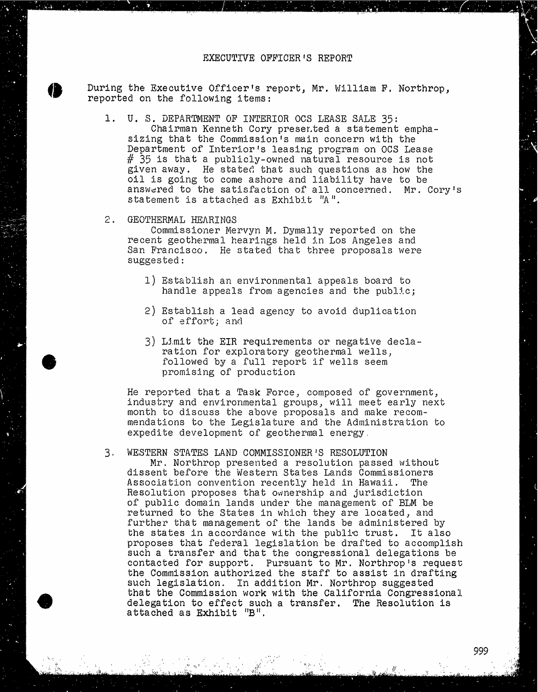#### EXECUTIVE OFFICER 'S REPORT

During the Executive Officer's report, Mr. William F. Northrop, reported on the following items:

- 1. U. S. DEPARTMENT OF INTERIOR OCS LEASE SALE 35: Chairman Kenneth Cory presented a statement empha sizing that the Commission's main concern with the Department of Interior's leasing program on OCS Lease  $#$  35 is that a publicly-owned natural resource is not given away. He stated that such questions as how the oil is going to come ashore and liabilit answered to the satisfaction of all concerned. I statement is attached as Exhibit "A".
- 

2. GEOTHERMAL HEARINGS<br>Commissioner Mervyn M. Dymally reported on the recent geothermal hearings held in Los Angeles and San Francisco. He stated that three proposals were suggested :

- 1 ) Establish an environmental appeals board to handle appeals from agencies and the public;
- 2) Establish a lead agency to avoid duplication of effort; and
- 3) Limit the EIR requirements or negative declaration for exploratory geothermal wells, followed by a full report if wells seem promising of production

He reported that a Task Force, composed of government, industry and environmental groups, will meet early next month to discuss the above proposals and make recommendations to the Legislature and the Administration to expedite development of geothermal energy

3. WESTERN STATES LAND COMMISSIONER'S RESOLUTION<br>Mr. Northrop presented a resolution passed without dissent before the Western States Lands Commissioners Association convention recently held in Hawaii. The Resolution proposes that ownership and jurisdiction of public domain lands under the management of BLM be returned to the States in which they are located, and further that management of the lands be administered by the states in accordance with the public trust. It also proposes that federal legislation be drafted to accomplish such a transfer and that the congressional delegations be contacted for support. Pursuant to Mr. Northrop's request the Commission authorized the staff to assist in drafting such legislation. In addition Mr. Northrop suggested that the Commission work with the California Congressional delegation to effect such a transfer. The Resolution is attached as Exhibit "B".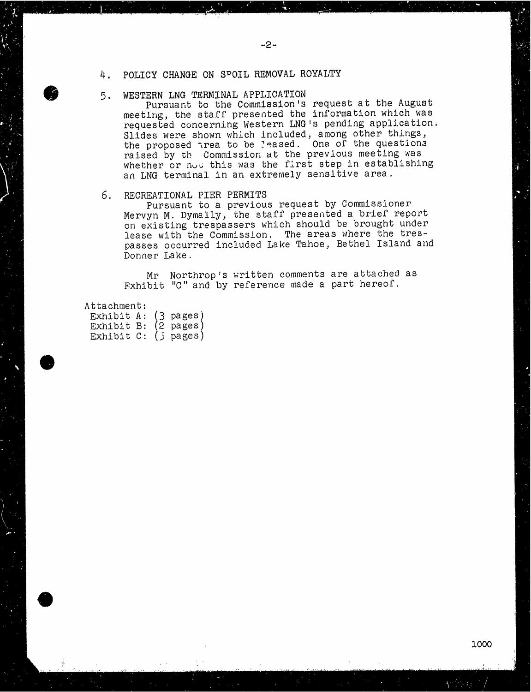- 4. POLICY CHANGE ON SPOIL REMOVAL ROYALTY
- 5. WESTERN LNG TERMINAL APPLICATION

Pursuant to the Commission's request at the August meeting, the staff presented the information which was requested concerning Western LNG's pending application. Slides were shown which included, among other the proposed area to be leased. One of the raised by th Commission at the previous meeting was whether or not this was the first step in establishing an LNG terminal in an extremely sensitive area .

6. RECREATIONAL PIER PERMITS<br>Pursuant to a previous request by Commissioner Mervyn M. Dymally, the staff presented a brief report on existing trespassers which should be brought under<br>lease with the Commission. The areas where the treslease with the Commission. The areas where passes occurred included Lake Tahoe, Bethel Island and Donner Lake.

Mr Northrop's written comments are attached as Exhibit "C" and by reference made a part hereof.

Attachment: Exhibit A: (3 pages)<br>Exhibit B: (2 pages)<br>Exhibit C: (5 pages)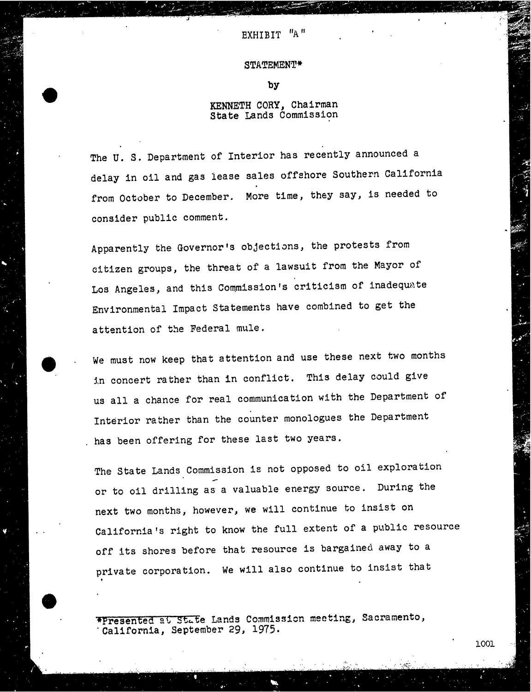#### STATEMENT\*

by

### KENNETH CORY, Chairman State Lands Commission

The U. S. Department of Interior has recently announced a delay in oil and gas lease sales offshore Southern California from October to December. More time, they say, is needed to consider public comment.

Apparently the Governor's objections, the protests from citizen groups, the threat of a lawsuit from the Mayor of Los Angeles, and this Commission's criticism of inadequate Environmental Impact Statements have combined to get the attention of the Federal mule.

We must now keep that attention and use these next two months in concert rather than in conflict. This delay could give us all a chance for real communication with the Department of Interior rather than the counter monologues the Department has been offering for these last two years.

The State Lands Commission is not opposed to oil exploration or to oil drilling as a valuable energy source. During the next two months, however, we will continue to insist on California's right to know the full extent of a public resource off its shores before that resource is bargained away to a private corporation. We will also continue to insist that

\*Presented at State Lands Commission meeting, Sacramento, California, September 29, 1975.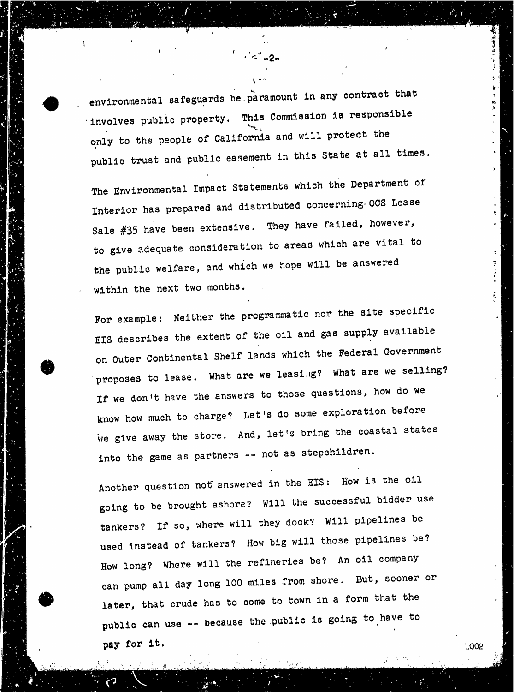environmental safeguards be . paramount in any contract that involves public property. This Commission is responsible only to the people of California and will protect the public trust and public easement in this State at all times.

The Environmental Impact Statements which the Department of Interior has prepared and distributed concerning OCS Lease Sale #35 have been extensive. They have failed, however, to give adequate consideration to areas which are vital to the public welfare, and which we hope will be answered within the next two months.

For example: Neither the programmatic nor the site specific EIS describes the extent of the oil and gas supply available on Outer Continental Shelf lands which the Federal Government proposes to lease. What are we leasing? What are we selling? If we don't have the answers to those questions, how do we know how much to charge? Let's do some exploration before we give away the store. And, let's bring the coastal states into the game as partners -- not as stepchildren.

Another question not answered in the EIS: How is the oil going to be brought ashore? Will the successful bidder use tankers? If so, where will they dock? Will pipelines be used instead of tankers? How big will those pipelines be? How long? Where will the refineries be? An oil company can pump all day long 100 miles from shore. But, sooner or later, that crude has to come to town in a form that the public can use -- because the public is going to have to  $pay for it.$  1002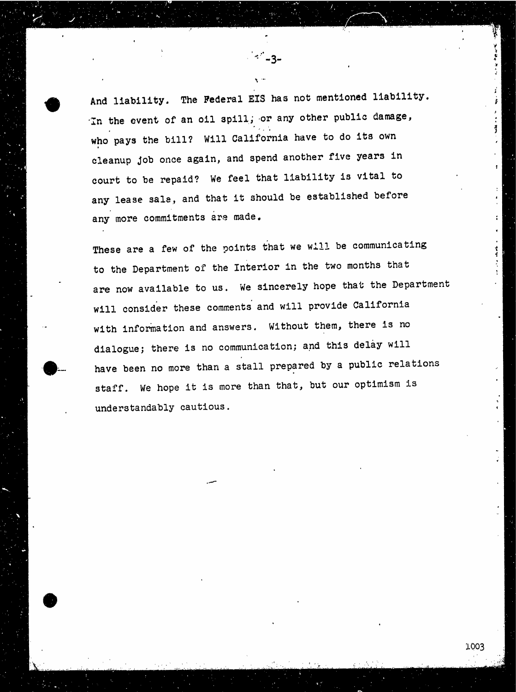And liability. The Federal EIS has not mentioned liability. In the event of an oil spill, or any other public damage, who pays the bill? Will California have to do its own cleanup job once again, and spend another five years in court to be repaid? We feel that liability is vital to any lease sale, and that it should be established before any more commitments are made.

These are a few of the points that we will be communicating to the Department of the Interior in the two months that are now available to us. We sincerely hope that the Department will consider these comments and will provide California with information and answers. Without them, there is no dialogue; there is no communication; and this delay will have been no more than a stall prepared by a public relations staff. We hope it is more than that, but our optimism is understandably cautious.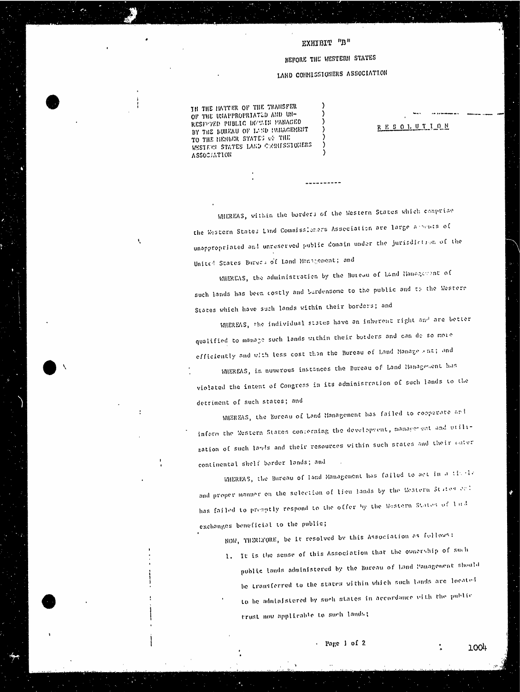# EXHIBIT "B"

# BEFORE THE WESTERN STATES

# LAND COMMISSIONERS ASSOCIATION

TH THE IMTURE OF THE TRANSFER RESPECTED PUBLIC DOUGLY PANAGED RESPIED PUBLIC DOMAIN ANAGEMENT (RESOLUTION BY THE BUREAU OF LAND MANAGEMENT) TO THE MEMBER STATES OF THE WESTERN STATES LAND COMMISSIONERS LAND COMMISSIONERS LAND COMMISSIONERS LAND COMMISSIONERS LAND COMMISSIONERS AND LAND COMMISSIONERS LAND COMMISSIONERS LAND COMMISSION COMMISSION COMMISSION COMMISSION COMMISSION COMMISSION ASSOCIATION

WHEREAS, within the border; of the Western States which comprise the Western States Lind Commissioners Association are large assents of unappropriated and unreserved public domain under the Jurisdiction of the United States Burees of Land Management ; and

WHEREAS, the administration by the Bureau of Land lianagevent of such lands has been costly and burdensome to the public and to the Western Stores which have such lands within their borders; and

WHEREAS, the individual states have on inherent right and are better qualified to manage such lands within their botders and can do so movie efficiently and with less cost than the Bureau of land Manage , nc; and

MIEREAS, in numerous instances the Bureau of Land Management has violated the incent of Congress in its administration of such lands to the detriment of such states; and

MIEREAS, the Bureau of Land Management has failed to cooperate ar! inform the Western States concerning the development, manage- ent and utilization of such lands and their resources within such states and their cuter continental shelf border lands; and

WHEREAS, the Bureau of land Management has failed to act in a timble and proper manner on the selection of lieu lands by the Western States or: has failed to preaptly respond to the offer by the Western States of In4 exchanges beneficial to the public;

NOW, THEREFORE, be it resolved by this association as follows:

1. It is the sense of this Association that the ownership of such public lands administered by the Bureau of Land Panagement Should be transferred to the states within which such lands are located to be administered by such states in accordance with the public trust now applicable to such lands :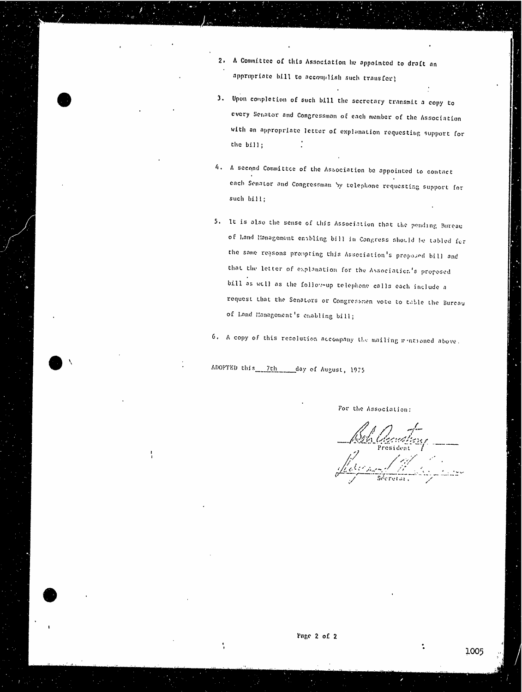- 2. A Committee of this Association be appointed to draft an appropriate bill to accomplish such transfer;
- 3. Upon completion of such bill the secretary transmit a copy to every Senator and Congressman of each member of the Association with an appropriate letter of explanation requesting support for the bill ;
- 4. A seeand Committee of the Association be appointed to contact each Senator and Congressman by telephone requesting support for such bill;
- 5. It is also the sense of this Association that the pending Bureau of Land Hanagement enabling bill in Congress should be tabled for the same reasons prompting this Association's proposed bill and that the letter of explanation for the Association's proposed bill as well as the follow-up telephone calls each include a request that the Senators or Congressmen vote to cable the Bureau of Land Management's enabling bill;

6. A copy of this resolution accompany the mailing mentioned above.

ADOPTED this 7th day of August, 1975

--

For the Association:

President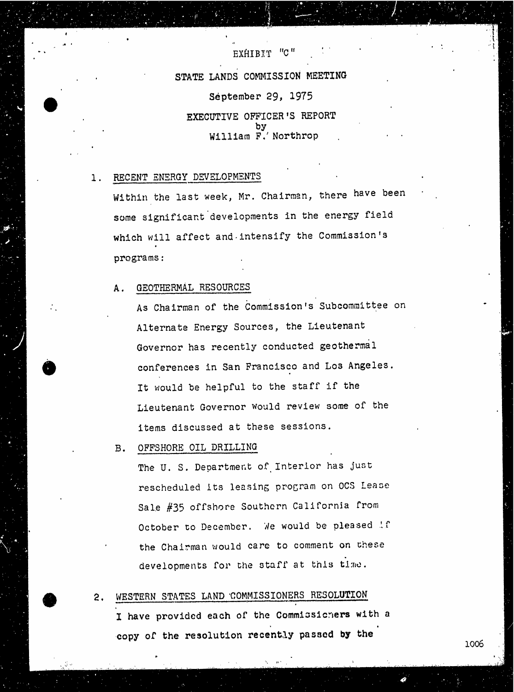# EXHIBIT "C " STATE LANDS COMMISSION MEETING

September 29, 1975 EXECUTIVE OFFICER 'S REPORT by William F.' Northro

# 1. RECENT ENERGY DEVELOPMENTS

Within the last week, Mr. Chairman, there have been some significant developments in the energy field which will affect and intensify the Commission's programs :

#### A. GEOTHERMAL RESOURCES

As Chairman of the Commission's Subcommittee on Alternate Energy Sources, the Lieutenant Governor has recently conducted geothermal conferences in San Francisco and Los Angeles. It would be helpful to the staff if the Lieutenant Governor Would review some of the items discussed at these sessions.

#### B. OFFSHORE OIL DRILLING

The U. S. Department of Interior has just rescheduled its leasing program on OCS Lease Sale #35 offshore Southern California from October to December. We would be pleased if the Chairman would care to comment on these developments for the staff at this time.

# 2. WESTERN STATES LAND 'COMMISSIONERS RESOLUTION I have provided each of the Commissioners with a copy of the resolution recently passed by the 1006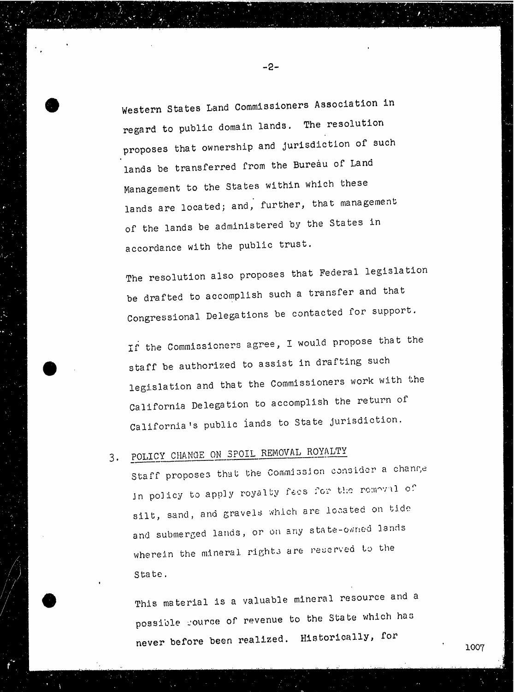Western States Land Commissioners Association in regard to public domain lands. The resolution proposes that ownership and jurisdiction of such lands be transferred from the Bureau of Land Management to the States within which these lands are located; and, further, that management of the lands be administered by the States in accordance with the public trust.

-2-

The resolution also proposes that Federal legislation be drafted to accomplish such a transfer and that Congressional Delegations be contacted for support.

If the Commissioners agree, I would propose that the staff be authorized to assist in drafting such legislation and that the Commissioners work with the California Delegation to accomplish the return of California's public lands to State jurisdiction.

# 3. POLICY CHANGE ON SPOIL REMOVAL ROYALTY

Staff proposes that the Commission consider a change In policy to apply royalty fees for the removal of silt, sand, and gravels which are located on tide and submerged lands, or on any state-owned lands wherein the mineral rights are reserved to the State .

This material is a valuable mineral resource and a possible cource of revenue to the State which has never before been realized. Historically, for  $1007$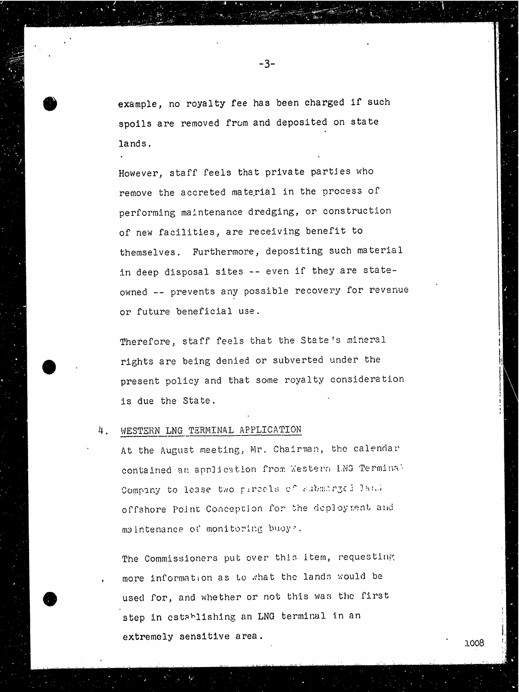example, no royalty fee has been charged if such spoils are removed from and deposited on state lands.

However, staff feels that private parties who remove the accreted material in the process of performing maintenance dredging, or construction of new facilities, are receiving benefit to themselves. Furthermore, depositing such material in deep disposal sites -- even if they are stateowned -- prevents any possible recovery for revenue or future beneficial use.

Therefore, staff feels that the State's mineral rights are being denied or subverted under the present policy and that some royalty consideration is due the State.

# 4 . WESTERN LNG TERMINAL APPLICATION

At the August meeting, Mr. Chairman, the calendar contained an application from Western ING Termina Company to lease two parcels of submarged land offshore Point Conception for the deployment and maintenance of monitoring buoy.

The Commissioners put over this item, requesting more information as to what the lands would be used for, and whether or not this was the first step in establishing an LNG terminal in an extremely sensitive area.<br>
1008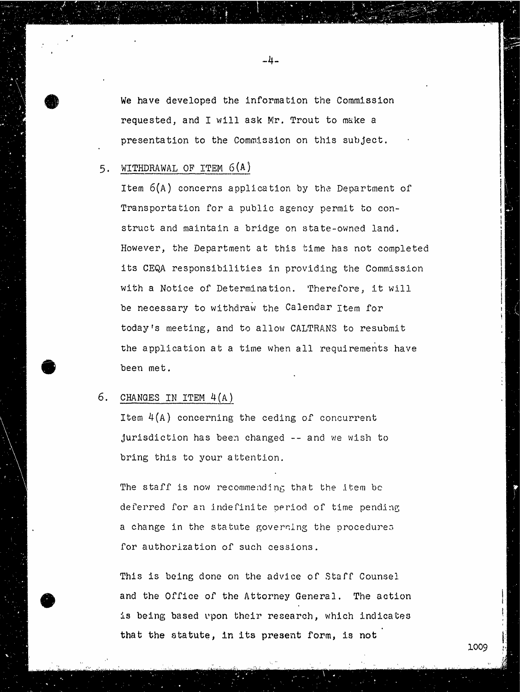We have developed the information the Commission requested, and I will ask Mr. Trout to make a presentation to the Commission on this subject.

-4-

# 5. WITHDRAWAL OF ITEM 6(A)

Item 6(A ) concerns application by the Department of Transportation for a public agency permit to construct and maintain a bridge on state-owned land. However, the Department at this time has not completed its CEQA responsibilities in providing the Commission with a Notice of Determination. Therefore, it will be necessary to withdraw the Calendar Item for today's meeting, and to allow CALTRANS to resubmit the application at a time when all requirements have been met.

## 6. CHANGES IN ITEM 4 (A)

Item  $4(A)$  concerning the ceding of concurrent Jurisdiction has been changed -- and we wish to bring this to your attention.

The staff is now recommending that the item bc deferred for an indefinite period of time pending a change in the statute governing the procedures for authorization of such cessions.

This is being done on the advice of Staff Counsel and the Office of the Attorney General. The action is being based upon their research, which indicates that the statute, in its present form, is not

1009